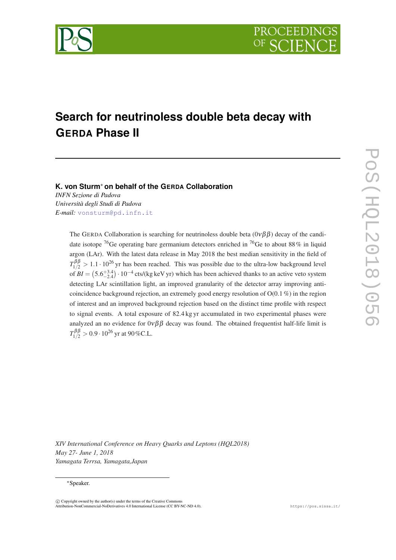

# **Search for neutrinoless double beta decay with GERDA Phase II**

# **K. von Sturm**<sup>∗</sup> **on behalf of the GERDA Collaboration**

*INFN Sezione di Padova Università degli Studi di Padova E-mail:* [vonsturm@pd.infn.it](mailto:vonsturm@pd.infn.it)

> The GERDA Collaboration is searching for neutrinoless double beta  $(0\nu\beta\beta)$  decay of the candidate isotope <sup>76</sup>Ge operating bare germanium detectors enriched in <sup>76</sup>Ge to about 88% in liquid argon (LAr). With the latest data release in May 2018 the best median sensitivity in the field of  $T_{1/2}^{\beta\beta} > 1.1 \cdot 10^{26}$  yr has been reached. This was possible due to the ultra-low background level of  $BI = (5.6^{+3.4}_{-2.4}) \cdot 10^{-4}$  cts/(kg keV yr) which has been achieved thanks to an active veto system detecting LAr scintillation light, an improved granularity of the detector array improving anticoincidence background rejection, an extremely good energy resolution of  $O(0.1\%)$  in the region of interest and an improved background rejection based on the distinct time profile with respect to signal events. A total exposure of 82.4 kg yr accumulated in two experimental phases were analyzed an no evidence for  $0\nu\beta\beta$  decay was found. The obtained frequentist half-life limit is  $T^{\beta\beta}_{1/2}>0.9\cdot 10^{26}$  yr at 90 %C.L.

*XIV International Conference on Heavy Quarks and Leptons (HQL2018) May 27- June 1, 2018 Yamagata Terrsa, Yamagata,Japan*

#### <sup>∗</sup>Speaker.

 $\overline{c}$  Copyright owned by the author(s) under the terms of the Creative Common Attribution-NonCommercial-NoDerivatives 4.0 International License (CC BY-NC-ND 4.0). https://pos.sissa.it/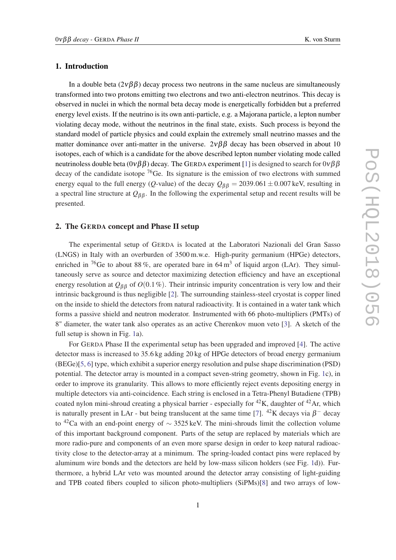### 1. Introduction

In a double beta  $(2\nu\beta\beta)$  decay process two neutrons in the same nucleus are simultaneously transformed into two protons emitting two electrons and two anti-electron neutrinos. This decay is observed in nuclei in which the normal beta decay mode is energetically forbidden but a preferred energy level exists. If the neutrino is its own anti-particle, e.g. a Majorana particle, a lepton number violating decay mode, without the neutrinos in the final state, exists. Such process is beyond the standard model of particle physics and could explain the extremely small neutrino masses and the matter dominance over anti-matter in the universe.  $2\nu\beta\beta$  decay has been observed in about 10 isotopes, each of which is a candidate for the above described lepton number violating mode called neutrinoless double beta ( $0\nu\beta\beta$ ) decay. The GERDA experiment [[1](#page-6-0)] is designed to search for  $0\nu\beta\beta$ decay of the candidate isotope  ${}^{76}$ Ge. Its signature is the emission of two electrons with summed energy equal to the full energy (*Q*-value) of the decay  $Q_{\beta\beta} = 2039.061 \pm 0.007$  keV, resulting in a spectral line structure at  $Q_{\beta\beta}$ . In the following the experimental setup and recent results will be presented.

#### 2. The GERDA concept and Phase II setup

The experimental setup of GERDA is located at the Laboratori Nazionali del Gran Sasso (LNGS) in Italy with an overburden of 3500 m.w.e. High-purity germanium (HPGe) detectors, enriched in <sup>76</sup>Ge to about 88 %, are operated bare in 64 m<sup>3</sup> of liquid argon (LAr). They simultaneously serve as source and detector maximizing detection efficiency and have an exceptional energy resolution at  $Q_{\beta\beta}$  of  $O(0.1\%)$ . Their intrinsic impurity concentration is very low and their intrinsic background is thus negligible [[2](#page-6-0)]. The surrounding stainless-steel cryostat is copper lined on the inside to shield the detectors from natural radioactivity. It is contained in a water tank which forms a passive shield and neutron moderator. Instrumented with 66 photo-multipliers (PMTs) of 8" diameter, the water tank also operates as an active Cherenkov muon veto [[3](#page-6-0)]. A sketch of the full setup is shown in Fig. [1a](#page-2-0)).

For GERDA Phase II the experimental setup has been upgraded and improved [[4\]](#page-6-0). The active detector mass is increased to 35.6 kg adding 20 kg of HPGe detectors of broad energy germanium (BEGe)[[5](#page-6-0), [6\]](#page-6-0) type, which exhibit a superior energy resolution and pulse shape discrimination (PSD) potential. The detector array is mounted in a compact seven-string geometry, shown in Fig. [1](#page-2-0)c), in order to improve its granularity. This allows to more efficiently reject events depositing energy in multiple detectors via anti-coincidence. Each string is enclosed in a Tetra-Phenyl Butadiene (TPB) coated nylon mini-shroud creating a physical barrier - especially for  $^{42}K$ , daughter of  $^{42}Ar$ , which is naturally present in LAr - but being translucent at the same time [\[7\]](#page-6-0).  $^{42}$ K decays via  $\beta^-$  decay to <sup>42</sup>Ca with an end-point energy of  $\sim$  3525 keV. The mini-shrouds limit the collection volume of this important background component. Parts of the setup are replaced by materials which are more radio-pure and components of an even more sparse design in order to keep natural radioactivity close to the detector-array at a minimum. The spring-loaded contact pins were replaced by aluminum wire bonds and the detectors are held by low-mass silicon holders (see Fig. [1d](#page-2-0))). Furthermore, a hybrid LAr veto was mounted around the detector array consisting of light-guiding and TPB coated fibers coupled to silicon photo-multipliers (SiPMs)[[8](#page-6-0)] and two arrays of low-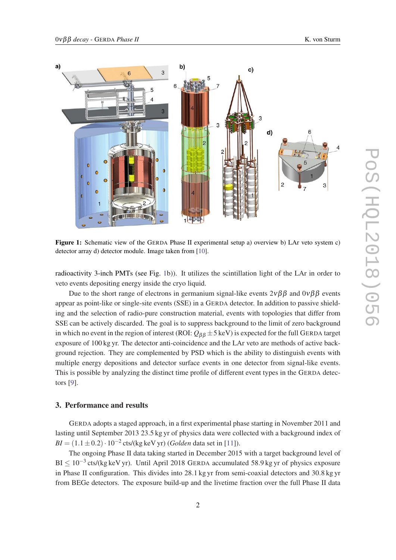<span id="page-2-0"></span>

Figure 1: Schematic view of the GERDA Phase II experimental setup a) overview b) LAr veto system c) detector array d) detector module. Image taken from [\[10](#page-6-0)].

radioactivity 3-inch PMTs (see Fig. 1b)). It utilizes the scintillation light of the LAr in order to veto events depositing energy inside the cryo liquid.

Due to the short range of electrons in germanium signal-like events  $2\nu\beta\beta$  and  $0\nu\beta\beta$  events appear as point-like or single-site events (SSE) in a GERDA detector. In addition to passive shielding and the selection of radio-pure construction material, events with topologies that differ from SSE can be actively discarded. The goal is to suppress background to the limit of zero background in which no event in the region of interest (ROI:  $Q_{\beta\beta} \pm 5$  keV) is expected for the full GERDA target exposure of 100 kg yr. The detector anti-coincidence and the LAr veto are methods of active background rejection. They are complemented by PSD which is the ability to distinguish events with multiple energy depositions and detector surface events in one detector from signal-like events. This is possible by analyzing the distinct time profile of different event types in the GERDA detectors [\[9\]](#page-6-0).

## 3. Performance and results

GERDA adopts a staged approach, in a first experimental phase starting in November 2011 and lasting until September 2013 23.5 kg yr of physics data were collected with a background index of  $BI = (1.1 \pm 0.2) \cdot 10^{-2}$  cts/(kg keV yr) (*Golden* data set in [[11\]](#page-6-0)).

The ongoing Phase II data taking started in December 2015 with a target background level of BI ≤ 10<sup>-3</sup> cts/(kg keV yr). Until April 2018 GERDA accumulated 58.9 kg yr of physics exposure in Phase II configuration. This divides into 28.1 kg yr from semi-coaxial detectors and 30.8 kg yr from BEGe detectors. The exposure build-up and the livetime fraction over the full Phase II data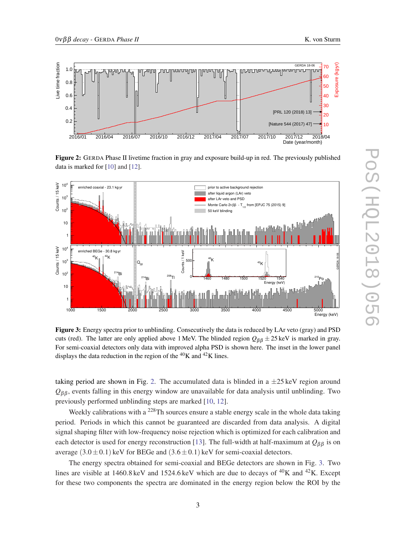<span id="page-3-0"></span>

Figure 2: GERDA Phase II livetime fraction in gray and exposure build-up in red. The previously published data is marked for [\[10](#page-6-0)] and [\[12](#page-7-0)].



Figure 3: Energy spectra prior to unblinding. Consecutively the data is reduced by LAr veto (gray) and PSD cuts (red). The latter are only applied above 1 MeV. The blinded region  $Q_{\beta\beta} \pm 25 \text{ keV}$  is marked in gray. For semi-coaxial detectors only data with improved alpha PSD is shown here. The inset in the lower panel displays the data reduction in the region of the  ${}^{40}$ K and  ${}^{42}$ K lines.

taking period are shown in Fig. 2. The accumulated data is blinded in a  $\pm 25 \,\text{keV}$  region around  $Q_{\beta\beta}$ , events falling in this energy window are unavailable for data analysis until unblinding. Two previously performed unblinding steps are marked [[10](#page-6-0), [12\]](#page-7-0).

Weekly calibrations with a <sup>228</sup>Th sources ensure a stable energy scale in the whole data taking period. Periods in which this cannot be guaranteed are discarded from data analysis. A digital signal shaping filter with low-frequency noise rejection which is optimized for each calibration and each detector is used for energy reconstruction [\[13](#page-7-0)]. The full-width at half-maximum at  $Q_{\beta\beta}$  is on average  $(3.0 \pm 0.1)$  keV for BEGe and  $(3.6 \pm 0.1)$  keV for semi-coaxial detectors.

The energy spectra obtained for semi-coaxial and BEGe detectors are shown in Fig. 3. Two lines are visible at 1460.8 keV and 1524.6 keV which are due to decays of  ${}^{40}$ K and  ${}^{42}$ K. Except for these two components the spectra are dominated in the energy region below the ROI by the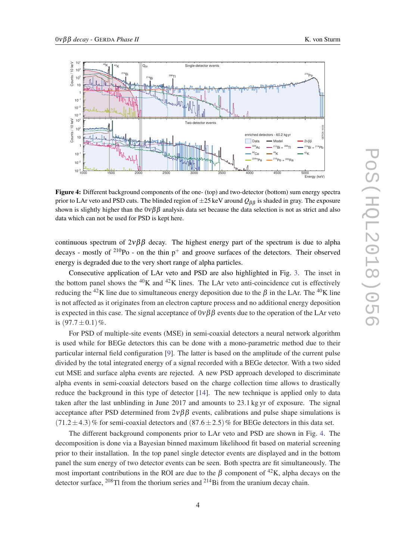

Figure 4: Different background components of the one- (top) and two-detector (bottom) sum energy spectra prior to LAr veto and PSD cuts. The blinded region of  $\pm 25$  keV around  $Q_{\beta\beta}$  is shaded in gray. The exposure shown is slightly higher than the  $0\nu\beta\beta$  analysis data set because the data selection is not as strict and also data which can not be used for PSD is kept here.

continuous spectrum of  $2\nu\beta\beta$  decay. The highest energy part of the spectrum is due to alpha decays - mostly of  $^{210}$ Po - on the thin p<sup>+</sup> and groove surfaces of the detectors. Their observed energy is degraded due to the very short range of alpha particles.

Consecutive application of LAr veto and PSD are also highlighted in Fig. [3.](#page-3-0) The inset in the bottom panel shows the  ${}^{40}$ K and  ${}^{42}$ K lines. The LAr veto anti-coincidence cut is effectively reducing the <sup>42</sup>K line due to simultaneous energy deposition due to the  $\beta$  in the LAr. The <sup>40</sup>K line is not affected as it originates from an electron capture process and no additional energy deposition is expected in this case. The signal acceptance of  $0\nu\beta\beta$  events due to the operation of the LAr veto is  $(97.7 \pm 0.1)\%$ .

For PSD of multiple-site events (MSE) in semi-coaxial detectors a neural network algorithm is used while for BEGe detectors this can be done with a mono-parametric method due to their particular internal field configuration [\[9\]](#page-6-0). The latter is based on the amplitude of the current pulse divided by the total integrated energy of a signal recorded with a BEGe detector. With a two sided cut MSE and surface alpha events are rejected. A new PSD approach developed to discriminate alpha events in semi-coaxial detectors based on the charge collection time allows to drastically reduce the background in this type of detector [[14\]](#page-7-0). The new technique is applied only to data taken after the last unblinding in June 2017 and amounts to 23.1 kg yr of exposure. The signal acceptance after PSD determined from  $2\nu\beta\beta$  events, calibrations and pulse shape simulations is  $(71.2 \pm 4.3)$ % for semi-coaxial detectors and  $(87.6 \pm 2.5)$ % for BEGe detectors in this data set.

The different background components prior to LAr veto and PSD are shown in Fig. 4. The decomposition is done via a Bayesian binned maximum likelihood fit based on material screening prior to their installation. In the top panel single detector events are displayed and in the bottom panel the sum energy of two detector events can be seen. Both spectra are fit simultaneously. The most important contributions in the ROI are due to the B component of <sup>42</sup>K, alpha decays on the detector surface,  $^{208}$ Tl from the thorium series and  $^{214}$ Bi from the uranium decay chain.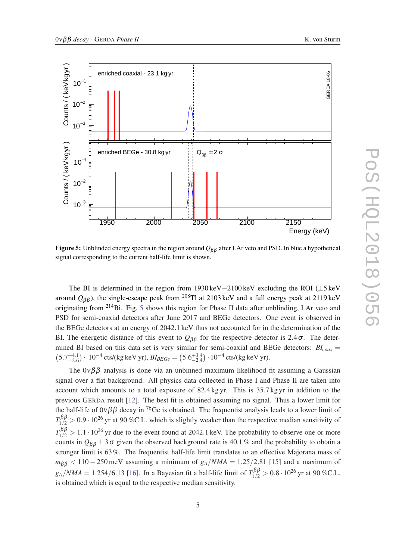

Figure 5: Unblinded energy spectra in the region around *Q*β β after LAr veto and PSD. In blue a hypothetical signal corresponding to the current half-life limit is shown.

The BI is determined in the region from 1930 keV−2100 keV excluding the ROI (±5 keV around  $Q_{\beta\beta}$ ), the single-escape peak from <sup>208</sup>Tl at 2103 keV and a full energy peak at 2119 keV originating from <sup>214</sup>Bi. Fig. 5 shows this region for Phase II data after unblinding, LAr veto and PSD for semi-coaxial detectors after June 2017 and BEGe detectors. One event is observed in the BEGe detectors at an energy of 2042.1 keV thus not accounted for in the determination of the BI. The energetic distance of this event to  $Q_{\beta\beta}$  for the respective detector is 2.4 $\sigma$ . The determined BI based on this data set is very similar for semi-coaxial and BEGe detectors: *BIcoax* =  $(5.7^{+4.1}_{-2.6}) \cdot 10^{-4}$  cts/(kg keV yr),  $Bl_{BEGe} = (5.6^{+3.4}_{-2.4}) \cdot 10^{-4}$  cts/(kg keV yr).

The  $0\nu\beta\beta$  analysis is done via an unbinned maximum likelihood fit assuming a Gaussian signal over a flat background. All physics data collected in Phase I and Phase II are taken into account which amounts to a total exposure of 82.4 kg yr. This is 35.7 kg yr in addition to the previous GERDA result [[12\]](#page-7-0). The best fit is obtained assuming no signal. Thus a lower limit for the half-life of  $0\nu\beta\beta$  decay in <sup>76</sup>Ge is obtained. The frequentist analysis leads to a lower limit of  $T_{1/2}^{\beta\beta} > 0.9 \cdot 10^{26}$  yr at 90 %C.L. which is slightly weaker than the respective median sensitivity of  $T_{1/2}^{\beta\beta} > 1.1 \cdot 10^{26}$  yr due to the event found at 2042.1 keV. The probability to observe one or more counts in  $Q_{\beta\beta} \pm 3\sigma$  given the observed background rate is 40.1 % and the probability to obtain a stronger limit is 63%. The frequentist half-life limit translates to an effective Majorana mass of  $m_{\beta\beta}$  < 110 – 250 meV assuming a minimum of  $g_A/NMA = 1.25/2.81$  [\[15](#page-7-0)] and a maximum of  $g_A/NMA = 1.254/6.13$  [[16\]](#page-7-0). In a Bayesian fit a half-life limit of  $T_{1/2}^{\beta\beta} > 0.8 \cdot 10^{26}$  yr at 90 %C.L. is obtained which is equal to the respective median sensitivity.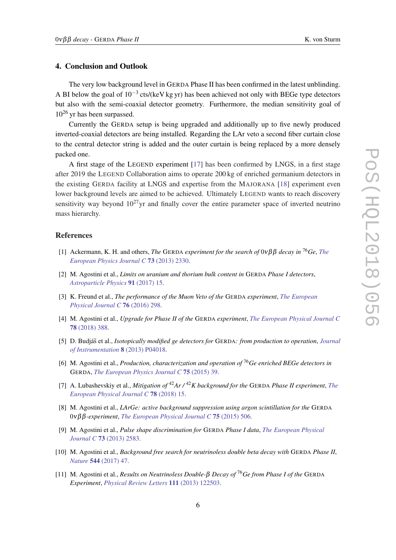#### <span id="page-6-0"></span>4. Conclusion and Outlook

The very low background level in GERDA Phase II has been confirmed in the latest unblinding. A BI below the goal of  $10^{-3}$  cts/(keV kg yr) has been achieved not only with BEGe type detectors but also with the semi-coaxial detector geometry. Furthermore, the median sensitivity goal of  $10^{26}$  yr has been surpassed.

Currently the GERDA setup is being upgraded and additionally up to five newly produced inverted-coaxial detectors are being installed. Regarding the LAr veto a second fiber curtain close to the central detector string is added and the outer curtain is being replaced by a more densely packed one.

A first stage of the LEGEND experiment [[17\]](#page-7-0) has been confirmed by LNGS, in a first stage after 2019 the LEGEND Collaboration aims to operate 200 kg of enriched germanium detectors in the existing GERDA facility at LNGS and expertise from the MAJORANA [[18\]](#page-7-0) experiment even lower background levels are aimed to be achieved. Ultimately LEGEND wants to reach discovery sensitivity way beyond  $10^{27}$ yr and finally cover the entire parameter space of inverted neutrino mass hierarchy.

#### References

- [1] Ackermann, K. H. and others, *The* GERDA *experiment for the search of* 0νβ β *decay in* <sup>76</sup>*Ge*, *[The](https://doi.org/10.1140/epjc/s10052-013-2330-0) [European Physics Journal C](https://doi.org/10.1140/epjc/s10052-013-2330-0)* 73 (2013) 2330.
- [2] M. Agostini et al., *Limits on uranium and thorium bulk content in* GERDA *Phase I detectors*, *[Astroparticle Physics](https://doi.org/10.1016/j.astropartphys.2017.03.003)* 91 (2017) 15.
- [3] K. Freund et al., *The performance of the Muon Veto of the* GERDA *experiment*, *[The European](https://doi.org/10.1140/epjc/s10052-016-4140-7) [Physical Journal C](https://doi.org/10.1140/epjc/s10052-016-4140-7)* 76 (2016) 298.
- [4] M. Agostini et al., *Upgrade for Phase II of the* GERDA *experiment*, *[The European Physical Journal C](https://doi.org/10.1140/epjc/s10052-018-5812-2)* 78 [\(2018\) 388.](https://doi.org/10.1140/epjc/s10052-018-5812-2)
- [5] D. Budjáš et al., *Isotopically modified ge detectors for* GERDA: *from production to operation*, *[Journal](https://doi.org/10.1088/1748-0221/8/04/P04018) [of Instrumentation](https://doi.org/10.1088/1748-0221/8/04/P04018)* 8 (2013) P04018.
- [6] M. Agostini et al., *Production, characterization and operation of* <sup>76</sup>*Ge enriched BEGe detectors in* GERDA, *[The European Physics Journal C](https://doi.org/10.1140/epjc/s10052-014-3253-0)* 75 (2015) 39.
- [7] A. Lubashevskiy et al., *Mitigation of* <sup>42</sup>*Ar /* <sup>42</sup>*K background for the* GERDA *Phase II experiment*, *[The](https://doi.org/10.1140/epjc/s10052-017-5499-9) [European Physical Journal C](https://doi.org/10.1140/epjc/s10052-017-5499-9)* 78 (2018) 15.
- [8] M. Agostini et al., *LArGe: active background suppression using argon scintillation for the* GERDA 0νβ β*-experiment*, *[The European Physical Journal C](https://doi.org/10.1140/epjc/s10052-015-3681-5)* 75 (2015) 506.
- [9] M. Agostini et al., *Pulse shape discrimination for* GERDA *Phase I data*, *[The European Physical](https://doi.org/10.1140/epjc/s10052-013-2583-7) Journal C* 73 [\(2013\) 2583](https://doi.org/10.1140/epjc/s10052-013-2583-7).
- [10] M. Agostini et al., *Background free search for neutrinoless double beta decay with* GERDA *Phase II*, *Nature* 544 [\(2017\) 47.](https://doi.org/10.1038/nature21717)
- [11] M. Agostini et al., *Results on Neutrinoless Double-*β *Decay of* <sup>76</sup>*Ge from Phase I of the* GERDA *Experiment*, *[Physical Review Letters](https://doi.org/10.1103/PhysRevLett.111.122503)* 111 (2013) 122503.